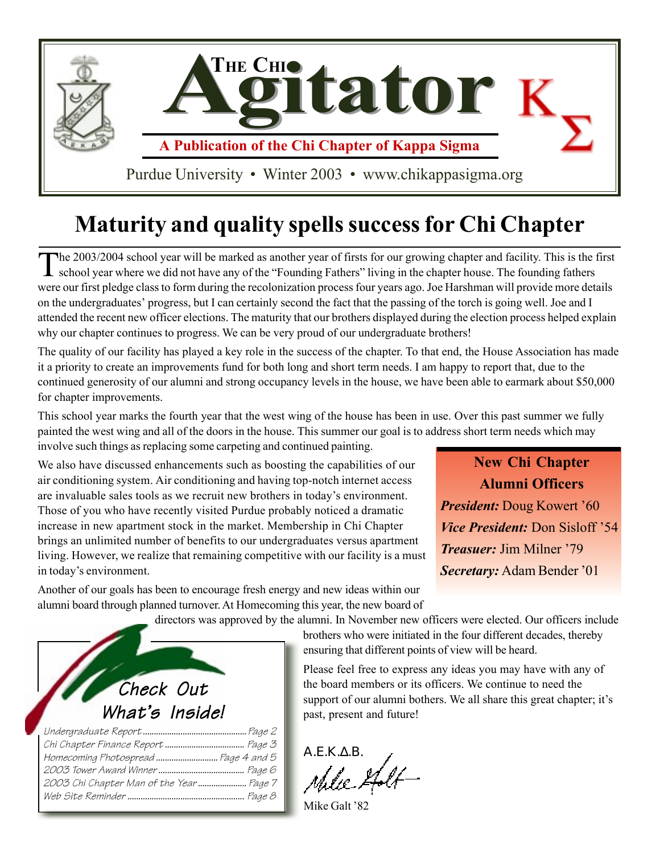

## **Maturity and quality spells success for Chi Chapter**

The 2003/2004 school year will be marked as another year of firsts for our growing chapter and facility. This is the first school year where we did not have any of the "Founding Fathers" living in the chapter house. The fo were our first pledge class to form during the recolonization process four years ago. Joe Harshman will provide more details on the undergraduates' progress, but I can certainly second the fact that the passing of the torch is going well. Joe and I attended the recent new officer elections. The maturity that our brothers displayed during the election process helped explain why our chapter continues to progress. We can be very proud of our undergraduate brothers!

The quality of our facility has played a key role in the success of the chapter. To that end, the House Association has made it a priority to create an improvements fund for both long and short term needs. I am happy to report that, due to the continued generosity of our alumni and strong occupancy levels in the house, we have been able to earmark about \$50,000 for chapter improvements.

This school year marks the fourth year that the west wing of the house has been in use. Over this past summer we fully painted the west wing and all of the doors in the house. This summer our goal is to address short term needs which may involve such things as replacing some carpeting and continued painting.

We also have discussed enhancements such as boosting the capabilities of our air conditioning system. Air conditioning and having top-notch internet access are invaluable sales tools as we recruit new brothers in today's environment. Those of you who have recently visited Purdue probably noticed a dramatic increase in new apartment stock in the market. Membership in Chi Chapter brings an unlimited number of benefits to our undergraduates versus apartment living. However, we realize that remaining competitive with our facility is a must in today's environment.

**New Chi Chapter Alumni Officers** *President:* Doug Kowert '60 *Vice President:* Don Sisloff '54 *Treasuer:* Jim Milner '79 *Secretary:* Adam Bender '01

Another of our goals has been to encourage fresh energy and new ideas within our alumni board through planned turnover. At Homecoming this year, the new board of

directors was approved by the alumni. In November new officers were elected. Our officers include

brothers who were initiated in the four different decades, thereby ensuring that different points of view will be heard.

Please feel free to express any ideas you may have with any of the board members or its officers. We continue to need the support of our alumni bothers. We all share this great chapter; it's past, present and future!

Α.Ε.Κ.Δ.Β.<br>*Δ.Ε. Μ.Ι.Ι*.

Mike Galt '82

| Check Out                            |
|--------------------------------------|
| What's Inside!                       |
|                                      |
|                                      |
| Homecoming Photospread  Page 4 and 5 |
|                                      |
|                                      |
|                                      |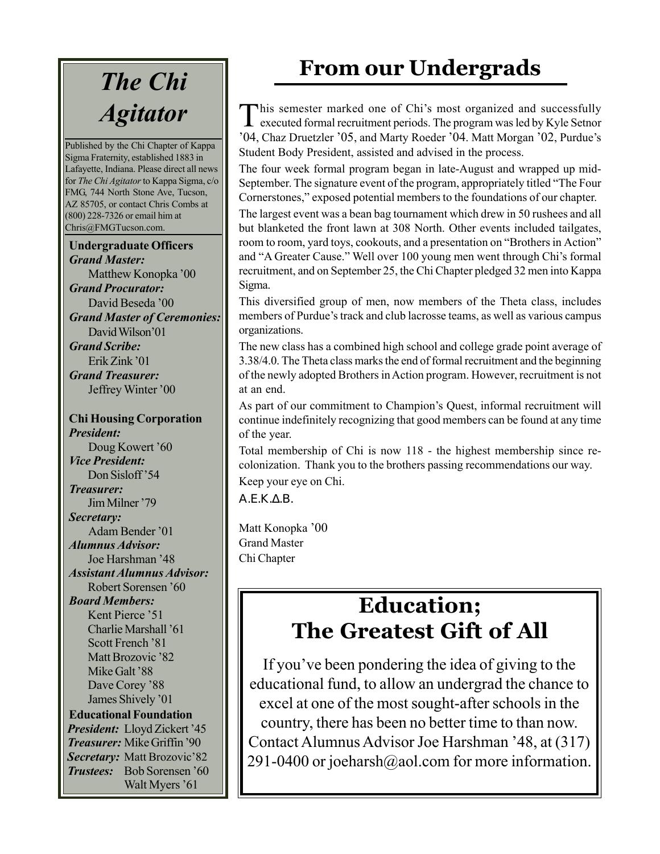## *The Chi Agitator*

Published by the Chi Chapter of Kappa Sigma Fraternity, established 1883 in Lafayette, Indiana. Please direct all news for *The Chi Agitator* to Kappa Sigma, c/o FMG, 744 North Stone Ave, Tucson, AZ 85705, or contact Chris Combs at (800) 228-7326 or email him at Chris@FMGTucson.com.

#### **Undergraduate Officers** *Grand Master:*

Matthew Konopka '00 *Grand Procurator:* David Beseda '00 *Grand Master of Ceremonies:* David Wilson'01 *Grand Scribe:* Erik Zink '01 *Grand Treasurer:* Jeffrey Winter '00

**Chi Housing Corporation** *President:* Doug Kowert '60 *Vice President:* Don Sisloff'54 *Treasurer:* Jim Milner '79 *Secretary:* Adam Bender '01 *Alumnus Advisor:* Joe Harshman '48 *Assistant Alumnus Advisor:* Robert Sorensen '60 *Board Members:* Kent Pierce '51 Charlie Marshall '61 Scott French '81 Matt Brozovic '82 Mike Galt '88 Dave Corey '88 James Shively '01 **Educational Foundation** *President:* Lloyd Zickert '45 *Treasurer:* Mike Griffin '90 *Secretary:* Matt Brozovic'82 *Trustees:* Bob Sorensen '60 Walt Myers '61

## **From our Undergrads**

This semester marked one of Chi's most organized and successfully executed formal recruitment periods. The program was led by Kyle Setnor '04, Chaz Druetzler '05, and Marty Roeder '04. Matt Morgan '02, Purdue's Student Body President, assisted and advised in the process.

The four week formal program began in late-August and wrapped up mid-September. The signature event of the program, appropriately titled "The Four Cornerstones," exposed potential members to the foundations of our chapter.

The largest event was a bean bag tournament which drew in 50 rushees and all but blanketed the front lawn at 308 North. Other events included tailgates, room to room, yard toys, cookouts, and a presentation on "Brothers in Action" and "A Greater Cause." Well over 100 young men went through Chi's formal recruitment, and on September 25, the Chi Chapter pledged 32 men into Kappa Sigma.

This diversified group of men, now members of the Theta class, includes members of Purdue's track and club lacrosse teams, as well as various campus organizations.

The new class has a combined high school and college grade point average of 3.38/4.0. The Theta class marks the end of formal recruitment and the beginning of the newly adopted Brothers in Action program. However, recruitment is not at an end.

As part of our commitment to Champion's Quest, informal recruitment will continue indefinitely recognizing that good members can be found at any time of the year.

Total membership of Chi is now 118 - the highest membership since recolonization. Thank you to the brothers passing recommendations our way. Keep your eye on Chi.

Α.Ε.Κ.∆.Β.

Matt Konopka '00 Grand Master Chi Chapter

### **Education; The Greatest Gift of All**

If you've been pondering the idea of giving to the educational fund, to allow an undergrad the chance to excel at one of the most sought-after schools in the country, there has been no better time to than now. Contact Alumnus Advisor Joe Harshman '48, at (317) 291-0400 or joeharsh@aol.com for more information.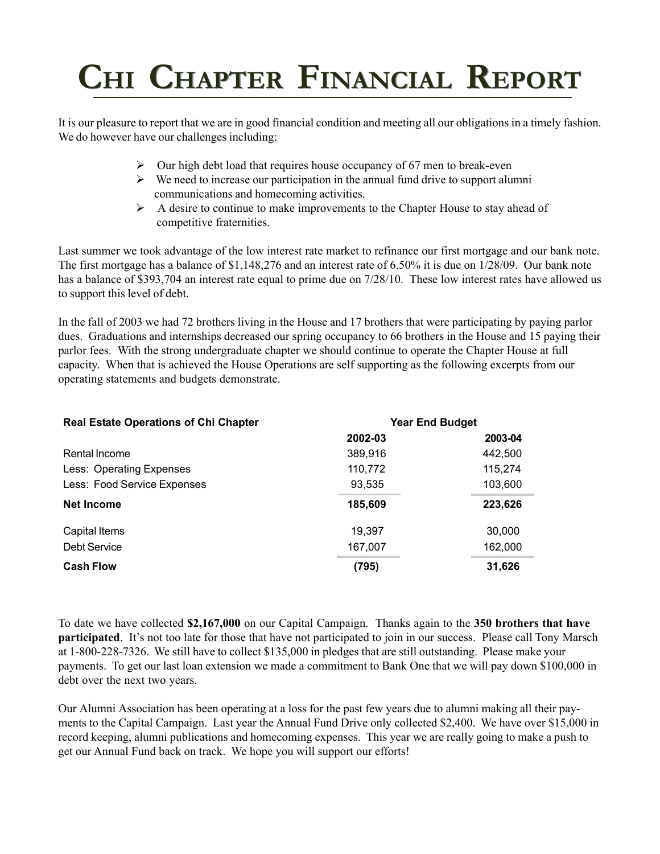## CHI CHAPTER FINANCIAL REPORT

It is our pleasure to report that we are in good financial condition and meeting all our obligations in a timely fashion. We do however have our challenges including:

- $\triangleright$  Our high debt load that requires house occupancy of 67 men to break-even
- $\triangleright$  We need to increase our participation in the annual fund drive to support alumni communications and homecoming activities.
- $\triangleright$  A desire to continue to make improvements to the Chapter House to stay ahead of competitive fraternities.

Last summer we took advantage of the low interest rate market to refinance our first mortgage and our bank note. The first mortgage has a balance of \$1,148,276 and an interest rate of 6.50% it is due on 1/28/09. Our bank note has a balance of \$393,704 an interest rate equal to prime due on 7/28/10. These low interest rates have allowed us to support this level of debt.

In the fall of 2003 we had 72 brothers living in the House and 17 brothers that were participating by paying parlor dues. Graduations and internships decreased our spring occupancy to 66 brothers in the House and 15 paying their parlor fees. With the strong undergraduate chapter we should continue to operate the Chapter House at full capacity. When that is achieved the House Operations are self supporting as the following excerpts from our operating statements and budgets demonstrate.

| <b>Real Estate Operations of Chi Chapter</b> | <b>Year End Budget</b> |         |
|----------------------------------------------|------------------------|---------|
|                                              | 2002-03                | 2003-04 |
| Rental Income                                | 389,916                | 442,500 |
| Less: Operating Expenses                     | 110,772                | 115,274 |
| Less: Food Service Expenses                  | 93,535                 | 103,600 |
| <b>Net Income</b>                            | 185,609                | 223,626 |
| Capital Items                                | 19.397                 | 30,000  |
| Debt Service                                 | 167,007                | 162,000 |
| <b>Cash Flow</b>                             | (795)                  | 31,626  |

To date we have collected **\$2,167,000** on our Capital Campaign. Thanks again to the **350 brothers that have participated**. It's not too late for those that have not participated to join in our success. Please call Tony Marsch at 1-800-228-7326. We still have to collect \$135,000 in pledges that are still outstanding. Please make your payments. To get our last loan extension we made a commitment to Bank One that we will pay down \$100,000 in debt over the next two years.

Our Alumni Association has been operating at a loss for the past few years due to alumni making all their payments to the Capital Campaign. Last year the Annual Fund Drive only collected \$2,400. We have over \$15,000 in record keeping, alumni publications and homecoming expenses. This year we are really going to make a push to get our Annual Fund back on track. We hope you will support our efforts!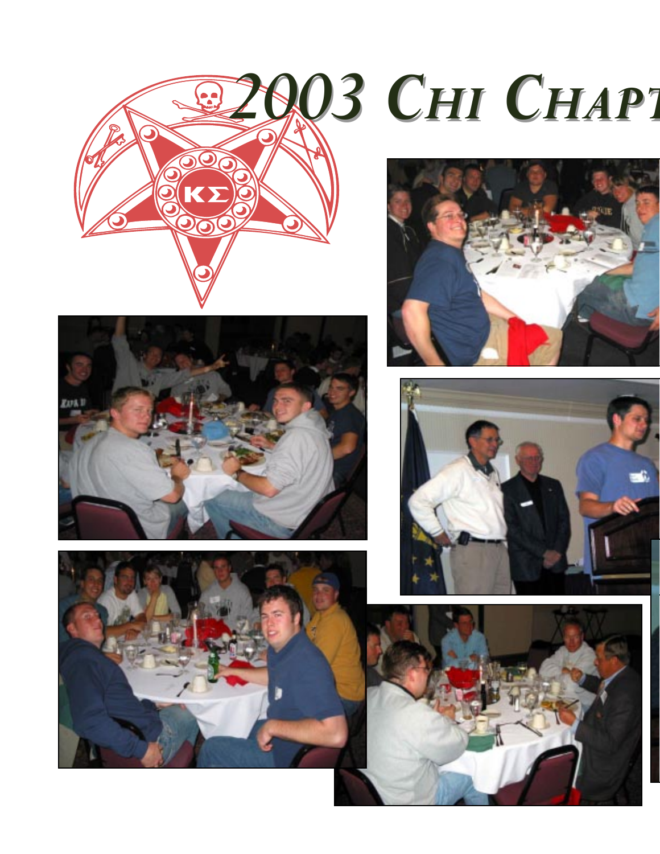







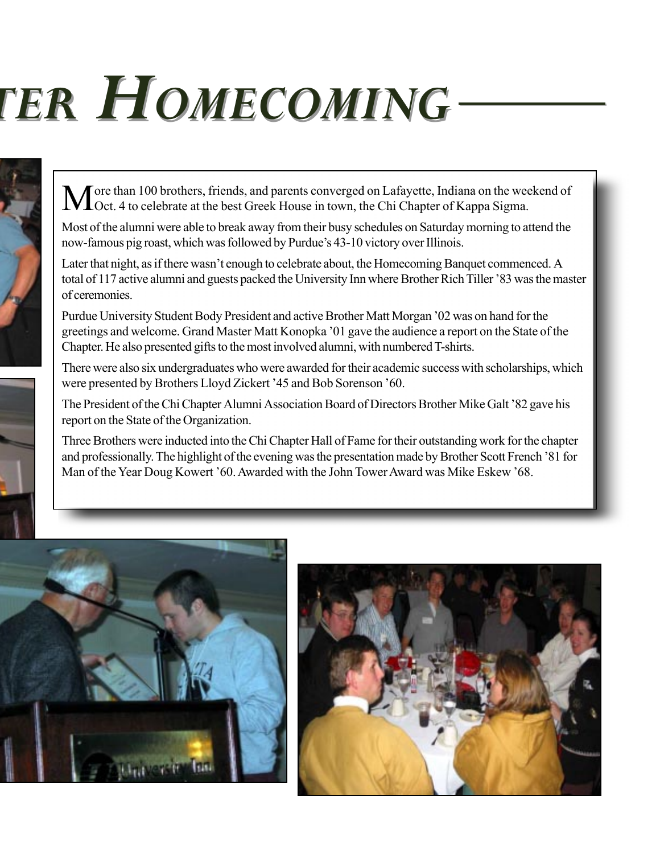# *TER HOMECOMING TER HOMECOMING*



More than 100 brothers, friends, and parents converged on Lafayette, Indiana on the weekend of Oct. 4 to celebrate at the best Greek House in town, the Chi Chapter of Kappa Sigma.

Most of the alumni were able to break away from their busy schedules on Saturday morning to attend the now-famous pig roast, which was followed by Purdue's 43-10 victory over Illinois.

Later that night, as if there wasn't enough to celebrate about, the Homecoming Banquet commenced. A total of 117 active alumni and guests packed the University Inn where Brother Rich Tiller '83 was the master of ceremonies.

Purdue University Student Body President and active Brother Matt Morgan '02 was on hand for the greetings and welcome. Grand Master Matt Konopka '01 gave the audience a report on the State of the Chapter. He also presented gifts to the most involved alumni, with numbered T-shirts.

There were also six undergraduates who were awarded for their academic success with scholarships, which were presented by Brothers Lloyd Zickert '45 and Bob Sorenson '60.

The President of the Chi Chapter Alumni Association Board of Directors Brother Mike Galt '82 gave his report on the State of the Organization.

Three Brothers were inducted into the Chi Chapter Hall of Fame for their outstanding work for the chapter and professionally. The highlight of the evening was the presentation made by Brother Scott French '81 for Man of the Year Doug Kowert '60. Awarded with the John Tower Award was Mike Eskew '68.



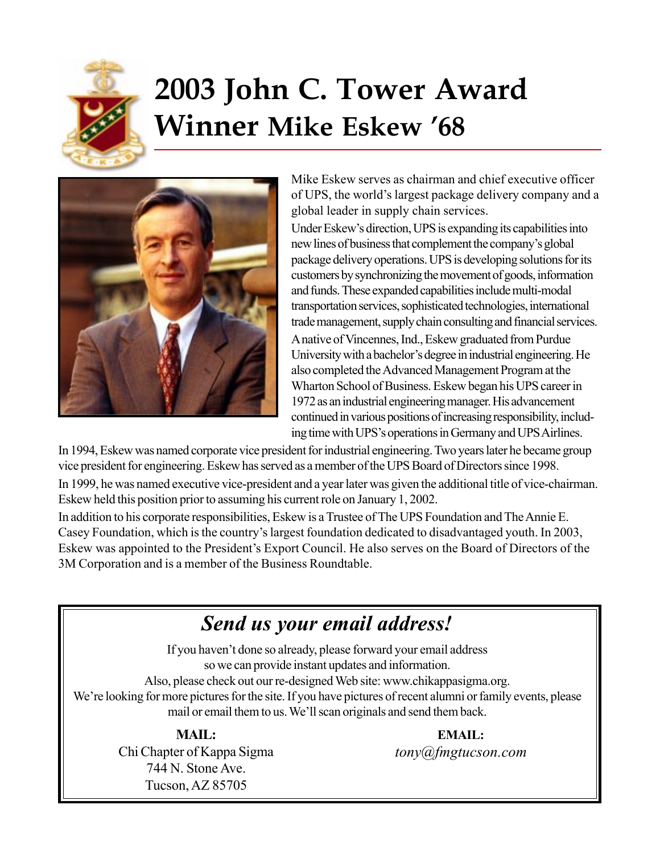

## **2003 John C. Tower Award Winner Mike Eskew '68**



Mike Eskew serves as chairman and chief executive officer of UPS, the world's largest package delivery company and a global leader in supply chain services.

Under Eskew's direction, UPS is expanding its capabilities into new lines of business that complement the company's global package delivery operations. UPS is developing solutions for its customers by synchronizing the movement of goods, information and funds. These expanded capabilities include multi-modal transportation services, sophisticated technologies, international trade management, supply chain consulting and financial services. A native of Vincennes, Ind., Eskew graduated from Purdue University with a bachelor's degree in industrial engineering. He also completed the Advanced Management Program at the Wharton School of Business. Eskew began his UPS career in 1972 as an industrial engineering manager. His advancement continued in various positions of increasing responsibility, including time with UPS's operations in Germany and UPS Airlines.

In 1994, Eskew was named corporate vice president for industrial engineering. Two years later he became group vice president for engineering. Eskew has served as a member of the UPS Board of Directors since 1998. In 1999, he was named executive vice-president and a year later was given the additional title of vice-chairman. Eskew held this position prior to assuming his current role on January 1, 2002.

In addition to his corporate responsibilities, Eskew is a Trustee of The UPS Foundation and The Annie E. Casey Foundation, which is the country's largest foundation dedicated to disadvantaged youth. In 2003, Eskew was appointed to the President's Export Council. He also serves on the Board of Directors of the 3M Corporation and is a member of the Business Roundtable.

#### *Send us your email address!*

If you haven't done so already, please forward your email address so we can provide instant updates and information. Also, please check out our re-designed Web site: www.chikappasigma.org. We're looking for more pictures for the site. If you have pictures of recent alumni or family events, please mail or email them to us. We'll scan originals and send them back.

**MAIL:**

Chi Chapter of Kappa Sigma 744 N. Stone Ave. Tucson, AZ 85705

**EMAIL:** *tony@fmgtucson.com*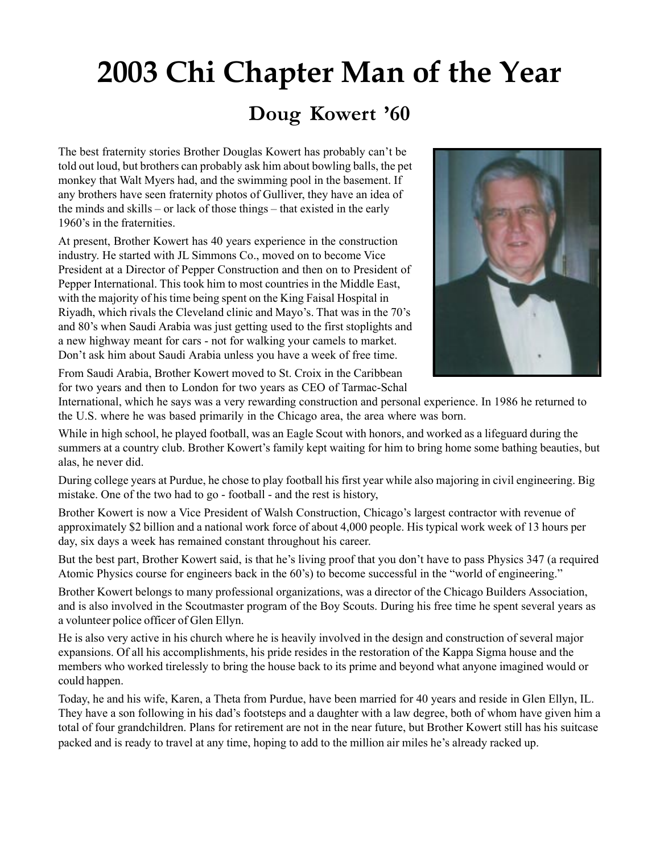## **2003 Chi Chapter Man of the Year**

#### **Doug Kowert '60**

The best fraternity stories Brother Douglas Kowert has probably can't be told out loud, but brothers can probably ask him about bowling balls, the pet monkey that Walt Myers had, and the swimming pool in the basement. If any brothers have seen fraternity photos of Gulliver, they have an idea of the minds and skills – or lack of those things – that existed in the early 1960's in the fraternities.

At present, Brother Kowert has 40 years experience in the construction industry. He started with JL Simmons Co., moved on to become Vice President at a Director of Pepper Construction and then on to President of Pepper International. This took him to most countries in the Middle East, with the majority of his time being spent on the King Faisal Hospital in Riyadh, which rivals the Cleveland clinic and Mayo's. That was in the 70's and 80's when Saudi Arabia was just getting used to the first stoplights and a new highway meant for cars - not for walking your camels to market. Don't ask him about Saudi Arabia unless you have a week of free time.



From Saudi Arabia, Brother Kowert moved to St. Croix in the Caribbean for two years and then to London for two years as CEO of Tarmac-Schal

International, which he says was a very rewarding construction and personal experience. In 1986 he returned to the U.S. where he was based primarily in the Chicago area, the area where was born.

While in high school, he played football, was an Eagle Scout with honors, and worked as a lifeguard during the summers at a country club. Brother Kowert's family kept waiting for him to bring home some bathing beauties, but alas, he never did.

During college years at Purdue, he chose to play football his first year while also majoring in civil engineering. Big mistake. One of the two had to go - football - and the rest is history,

Brother Kowert is now a Vice President of Walsh Construction, Chicago's largest contractor with revenue of approximately \$2 billion and a national work force of about 4,000 people. His typical work week of 13 hours per day, six days a week has remained constant throughout his career.

But the best part, Brother Kowert said, is that he's living proof that you don't have to pass Physics 347 (a required Atomic Physics course for engineers back in the 60's) to become successful in the "world of engineering."

Brother Kowert belongs to many professional organizations, was a director of the Chicago Builders Association, and is also involved in the Scoutmaster program of the Boy Scouts. During his free time he spent several years as a volunteer police officer of Glen Ellyn.

He is also very active in his church where he is heavily involved in the design and construction of several major expansions. Of all his accomplishments, his pride resides in the restoration of the Kappa Sigma house and the members who worked tirelessly to bring the house back to its prime and beyond what anyone imagined would or could happen.

Today, he and his wife, Karen, a Theta from Purdue, have been married for 40 years and reside in Glen Ellyn, IL. They have a son following in his dad's footsteps and a daughter with a law degree, both of whom have given him a total of four grandchildren. Plans for retirement are not in the near future, but Brother Kowert still has his suitcase packed and is ready to travel at any time, hoping to add to the million air miles he's already racked up.